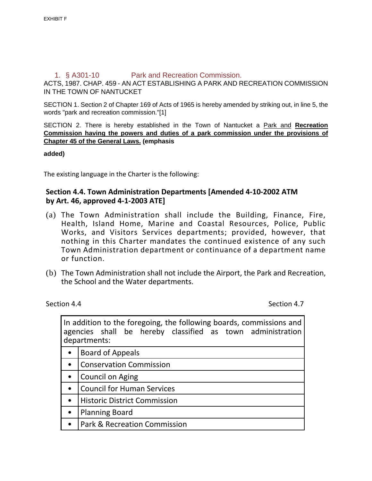## 1. § A301-10 Park and Recreation Commission.

ACTS, 1987. CHAP. 459 - AN ACT ESTABLISHING A PARK AND RECREATION COMMISSION IN THE TOWN OF NANTUCKET

SECTION 1. Section 2 of Chapter 169 of Acts of 1965 is hereby amended by striking out, in line 5, the words "park and recreation commission."[1]

SECTION 2. There is hereby established in the Town of Nantucket a Park and **Recreation Commission having the powers and duties of a park commission under the provisions of Chapter [45](https://ecode360.com/11470507%2311470507) of the General Laws. (emphasis**

**added)**

The existing language in the Charter is the following:

## **Section 4.4. Town Administration Departments [Amended 4-10-2002 ATM by Art. 46, approved 4-1-2003 ATE]**

- (a) The Town Administration shall include the Building, Finance, Fire, Health, Island Home, Marine and Coastal Resources, Police, Public Works, and Visitors Services departments; provided, however, that nothing in this Charter mandates the continued existence of any such Town Administration department or continuance of a department name or function.
- (b) The Town Administration shall not include the Airport, the Park and Recreation, the School and the Water departments.

Section 4.4 Section 4.4

In addition to the foregoing, the following boards, commissions and agencies shall be hereby classified as town administration departments: • Board of Appeals • Conservation Commission

- Council on Aging
- Council for Human Services
- Historic District Commission
- Planning Board
- Park & Recreation Commission